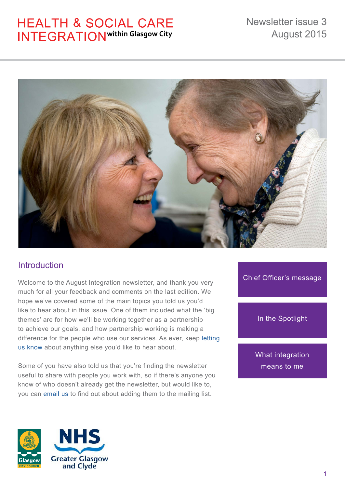# **HEALTH & SOCIAL CARE INTEGRATION** within Glasgow City



# **Introduction**

Welcome to the August Integration newsletter, and thank you very much for all your feedback and comments on the last edition. We hope we've covered some of the main topics you told us you'd like to hear about in this issue. One of them included what the 'big themes' are for how we'll be working together as a partnership to achieve our goals, and how partnership working is making a difference for the people who use our services. As ever, keep [letting](http://www.glasgow.gov.uk/index.aspx?articleid=15633)  [us know](http://www.glasgow.gov.uk/index.aspx?articleid=15633) about anything else you'd like to hear about.

Some of you have also told us that you're finding the newsletter useful to share with people you work with, so if there's anyone you know of who doesn't already get the newsletter, but would like to, you can [email us](mailto:email%20us?subject=SW_CommunicationsUnit%40glasgow.gov.uk) to find out about adding them to the mailing list.

### [Chief Officer's message](#page-1-0)

### [In the Spotlight](#page-4-0)

[What integration](#page-8-0)  means to me



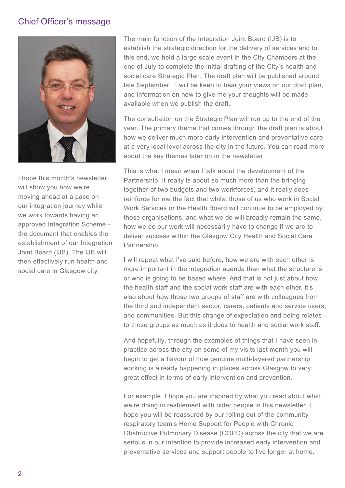### <span id="page-1-0"></span>Chief Officer's message



I hope this month's newsletter will show you how we're moving ahead at a pace on our integration journey while we work towards having an approved Integration Scheme the document that enables the establishment of our Integration Joint Board (IJB). The IJB will then effectively run health and social care in Glasgow city.

The main function of the Integration Joint Board (IJB) is to establish the strategic direction for the delivery of services and to this end, we held a large scale event in the City Chambers at the end of July to complete the initial drafting of the City's health and social care Strategic Plan. The draft plan will be published around late September. I will be keen to hear your views on our draft plan, and information on how to give me your thoughts will be made available when we publish the draft.

The consultation on the Strategic Plan will run up to the end of the year. The primary theme that comes through the draft plan is about how we deliver much more early intervention and preventative care at a very local level across the city in the future. You can read more about the key themes later on in the newsletter.

This is what I mean when I talk about the development of the Partnership. It really is about so much more than the bringing together of two budgets and two workforces, and it really does reinforce for me the fact that whilst those of us who work in Social Work Services or the Health Board will continue to be employed by those organisations, and what we do will broadly remain the same, how we do our work will necessarily have to change if we are to deliver success within the Glasgow City Health and Social Care Partnership.

I will repeat what I've said before, how we are with each other is more important in the integration agenda than what the structure is or who is going to be based where. And that is not just about how the health staff and the social work staff are with each other, it's also about how those two groups of staff are with colleagues from the third and independent sector, carers, patients and service users, and communities. But this change of expectation and being relates to those groups as much as it does to health and social work staff.

And hopefully, through the examples of things that I have seen in practice across the city on some of my visits last month you will begin to get a flavour of how genuine multi-layered partnership working is already happening in places across Glasgow to very great effect in terms of early intervention and prevention.

For example, I hope you are inspired by what you read about what we're doing in reablement with older people in this newsletter. I hope you will be reassured by our rolling out of the community respiratory team's Home Support for People with Chronic Obstructive Pulmonary Disease (COPD) across the city that we are serious in our intention to provide increased early intervention and preventative services and support people to live longer at home.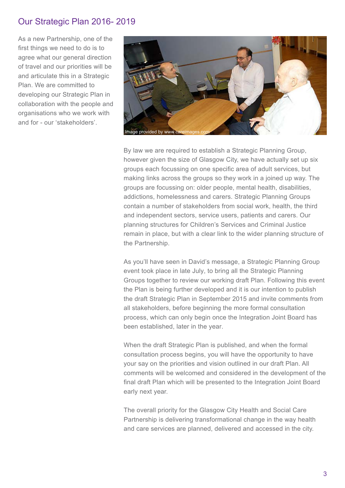### Our Strategic Plan 2016- 2019

As a new Partnership, one of the first things we need to do is to agree what our general direction of travel and our priorities will be and articulate this in a Strategic Plan. We are committed to developing our Strategic Plan in collaboration with the people and organisations who we work with and for - our 'stakeholders'.



By law we are required to establish a Strategic Planning Group, however given the size of Glasgow City, we have actually set up six groups each focussing on one specific area of adult services, but making links across the groups so they work in a joined up way. The groups are focussing on: older people, mental health, disabilities, addictions, homelessness and carers. Strategic Planning Groups contain a number of stakeholders from social work, health, the third and independent sectors, service users, patients and carers. Our planning structures for Children's Services and Criminal Justice remain in place, but with a clear link to the wider planning structure of the Partnership.

As you'll have seen in David's message, a Strategic Planning Group event took place in late July, to bring all the Strategic Planning Groups together to review our working draft Plan. Following this event the Plan is being further developed and it is our intention to publish the draft Strategic Plan in September 2015 and invite comments from all stakeholders, before beginning the more formal consultation process, which can only begin once the Integration Joint Board has been established, later in the year.

When the draft Strategic Plan is published, and when the formal consultation process begins, you will have the opportunity to have your say on the priorities and vision outlined in our draft Plan. All comments will be welcomed and considered in the development of the final draft Plan which will be presented to the Integration Joint Board early next year.

The overall priority for the Glasgow City Health and Social Care Partnership is delivering transformational change in the way health and care services are planned, delivered and accessed in the city.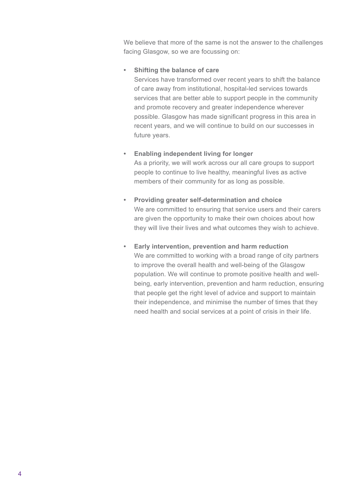We believe that more of the same is not the answer to the challenges facing Glasgow, so we are focussing on:

#### **• Shifting the balance of care**

Services have transformed over recent years to shift the balance of care away from institutional, hospital-led services towards services that are better able to support people in the community and promote recovery and greater independence wherever possible. Glasgow has made significant progress in this area in recent years, and we will continue to build on our successes in future years.

- **• Enabling independent living for longer** As a priority, we will work across our all care groups to support people to continue to live healthy, meaningful lives as active members of their community for as long as possible.
- **• Providing greater self-determination and choice** We are committed to ensuring that service users and their carers are given the opportunity to make their own choices about how they will live their lives and what outcomes they wish to achieve.
- **• Early intervention, prevention and harm reduction** We are committed to working with a broad range of city partners to improve the overall health and well-being of the Glasgow population. We will continue to promote positive health and wellbeing, early intervention, prevention and harm reduction, ensuring that people get the right level of advice and support to maintain their independence, and minimise the number of times that they need health and social services at a point of crisis in their life.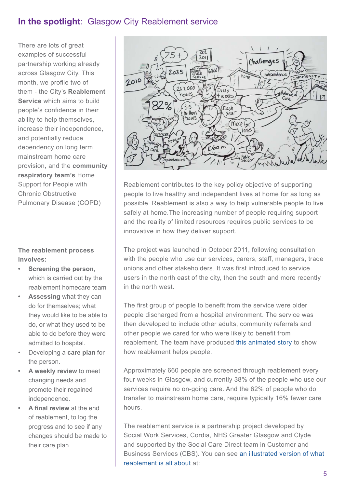# <span id="page-4-0"></span>**In the spotlight**: Glasgow City Reablement service

There are lots of great examples of successful partnership working already across Glasgow City. This month, we profile two of them - the City's **Reablement Service** which aims to build people's confidence in their ability to help themselves, increase their independence, and potentially reduce dependency on long term mainstream home care provision, and the **community respiratory team's** Home Support for People with Chronic Obstructive Pulmonary Disease (COPD)

### **The reablement process involves:**

- **• Screening the person**, which is carried out by the reablement homecare team
- **• Assessing** what they can do for themselves; what they would like to be able to do, or what they used to be able to do before they were admitted to hospital.
- Developing a **care plan** for the person.
- **• A weekly review** to meet changing needs and promote their regained independence.
- **• A final review** at the end of reablement, to log the progress and to see if any changes should be made to their care plan.



Reablement contributes to the key policy objective of supporting people to live healthy and independent lives at home for as long as possible. Reablement is also a way to help vulnerable people to live safely at home. The increasing number of people requiring support and the reality of limited resources requires public services to be innovative in how they deliver support.

The project was launched in October 2011, following consultation with the people who use our services, carers, staff, managers, trade unions and other stakeholders. It was first introduced to service users in the north east of the city, then the south and more recently in the north west.

The first group of people to benefit from the service were older people discharged from a hospital environment. The service was then developed to include other adults, community referrals and other people we cared for who were likely to benefit from reablement. The team have produced [this animated story](http://cordia.co.uk/Our-Services/Cordia-Care/Reablement.aspx) to show how reablement helps people.

Approximately 660 people are screened through reablement every four weeks in Glasgow, and currently 38% of the people who use our services require no on-going care. And the 62% of people who do transfer to mainstream home care, require typically 16% fewer care hours.

The reablement service is a partnership project developed by Social Work Services, Cordia, NHS Greater Glasgow and Clyde and supported by the Social Care Direct team in Customer and Business Services (CBS). You can see [an illustrated version of what](http://cordia.co.uk/Our-Services/Cordia-Care/Reablement.aspx)  [reablement is all about a](http://cordia.co.uk/Our-Services/Cordia-Care/Reablement.aspx)t: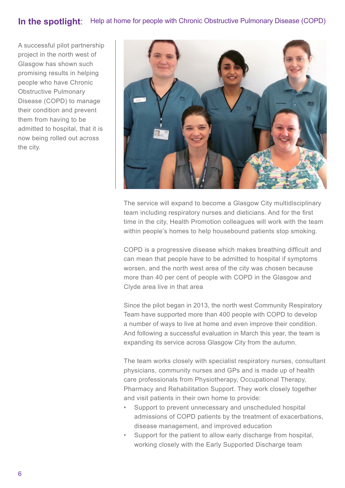# **In the spotlight**: Help at home for people with Chronic Obstructive Pulmonary Disease (COPD)

A successful pilot partnership project in the north west of Glasgow has shown such promising results in helping people who have Chronic Obstructive Pulmonary Disease (COPD) to manage their condition and prevent them from having to be admitted to hospital, that it is now being rolled out across the city.



The service will expand to become a Glasgow City multidisciplinary team including respiratory nurses and dieticians. And for the first time in the city, Health Promotion colleagues will work with the team within people's homes to help housebound patients stop smoking.

COPD is a progressive disease which makes breathing difficult and can mean that people have to be admitted to hospital if symptoms worsen, and the north west area of the city was chosen because more than 40 per cent of people with COPD in the Glasgow and Clyde area live in that area

Since the pilot began in 2013, the north west Community Respiratory Team have supported more than 400 people with COPD to develop a number of ways to live at home and even improve their condition. And following a successful evaluation in March this year, the team is expanding its service across Glasgow City from the autumn.

The team works closely with specialist respiratory nurses, consultant physicians, community nurses and GPs and is made up of health care professionals from Physiotherapy, Occupational Therapy, Pharmacy and Rehabilitation Support. They work closely together and visit patients in their own home to provide:

- Support to prevent unnecessary and unscheduled hospital admissions of COPD patients by the treatment of exacerbations, disease management, and improved education
- Support for the patient to allow early discharge from hospital, working closely with the Early Supported Discharge team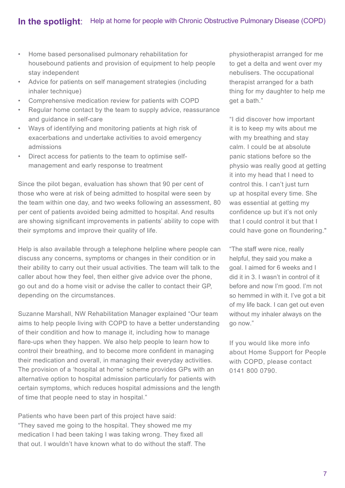- Home based personalised pulmonary rehabilitation for housebound patients and provision of equipment to help people stay independent
- Advice for patients on self management strategies (including inhaler technique)
- Comprehensive medication review for patients with COPD
- Regular home contact by the team to supply advice, reassurance and guidance in self-care
- Ways of identifying and monitoring patients at high risk of exacerbations and undertake activities to avoid emergency admissions
- Direct access for patients to the team to optimise selfmanagement and early response to treatment

Since the pilot began, evaluation has shown that 90 per cent of those who were at risk of being admitted to hospital were seen by the team within one day, and two weeks following an assessment, 80 per cent of patients avoided being admitted to hospital. And results are showing significant improvements in patients' ability to cope with their symptoms and improve their quality of life.

Help is also available through a telephone helpline where people can discuss any concerns, symptoms or changes in their condition or in their ability to carry out their usual activities. The team will talk to the caller about how they feel, then either give advice over the phone, go out and do a home visit or advise the caller to contact their GP, depending on the circumstances.

Suzanne Marshall, NW Rehabilitation Manager explained "Our team aims to help people living with COPD to have a better understanding of their condition and how to manage it, including how to manage flare-ups when they happen. We also help people to learn how to control their breathing, and to become more confident in managing their medication and overall, in managing their everyday activities. The provision of a 'hospital at home' scheme provides GPs with an alternative option to hospital admission particularly for patients with certain symptoms, which reduces hospital admissions and the length of time that people need to stay in hospital."

Patients who have been part of this project have said: "They saved me going to the hospital. They showed me my medication I had been taking I was taking wrong. They fixed all that out. I wouldn't have known what to do without the staff. The

physiotherapist arranged for me to get a delta and went over my nebulisers. The occupational therapist arranged for a bath thing for my daughter to help me get a bath."

"I did discover how important it is to keep my wits about me with my breathing and stay calm. I could be at absolute panic stations before so the physio was really good at getting it into my head that I need to control this. I can't just turn up at hospital every time. She was essential at getting my confidence up but it's not only that I could control it but that I could have gone on floundering."

"The staff were nice, really helpful, they said you make a goal. I aimed for 6 weeks and I did it in 3. I wasn't in control of it before and now I'm good. I'm not so hemmed in with it. I've got a bit of my life back. I can get out even without my inhaler always on the go now."

If you would like more info about Home Support for People with COPD, please contact 0141 800 0790.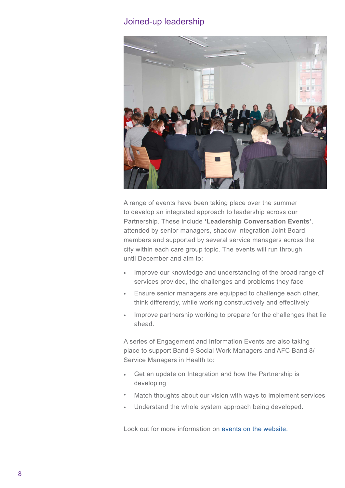### Joined-up leadership



A range of events have been taking place over the summer to develop an integrated approach to leadership across our Partnership. These include **'Leadership Conversation Events'**, attended by senior managers, shadow Integration Joint Board members and supported by several service managers across the city within each care group topic. The events will run through until December and aim to:

- Improve our knowledge and understanding of the broad range of services provided, the challenges and problems they face
- Ensure senior managers are equipped to challenge each other, think differently, while working constructively and effectively
- Improve partnership working to prepare for the challenges that lie ahead.

A series of Engagement and Information Events are also taking place to support Band 9 Social Work Managers and AFC Band 8/ Service Managers in Health to:

- Get an update on Integration and how the Partnership is developing
- Match thoughts about our vision with ways to implement services
- Understand the whole system approach being developed.

Look out for more information on [events on the website](http://www.glasgow.gov.uk/index.aspx?articleid=15631).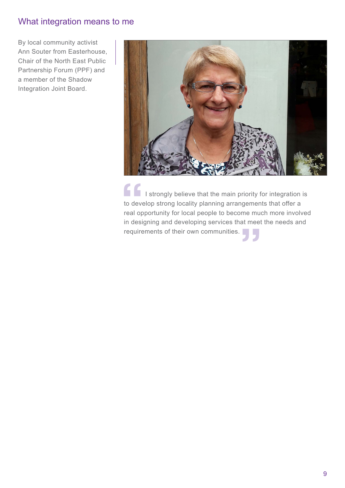# <span id="page-8-0"></span>What integration means to me

By local community activist Ann Souter from Easterhouse, Chair of the North East Public Partnership Forum (PPF) and a member of the Shadow Integration Joint Board.



I strongly believe that the main priority for integration is to develop strong locality planning arrangements that offer a real opportunity for local people to become much more involved in designing and developing services that meet the needs and requirements of their own communities.